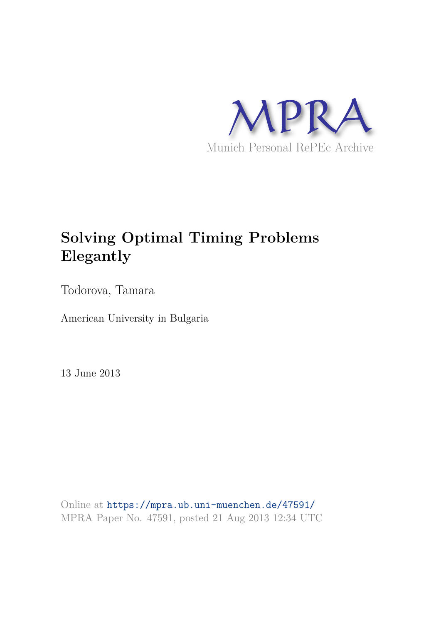

# **Solving Optimal Timing Problems Elegantly**

Todorova, Tamara

American University in Bulgaria

13 June 2013

Online at https://mpra.ub.uni-muenchen.de/47591/ MPRA Paper No. 47591, posted 21 Aug 2013 12:34 UTC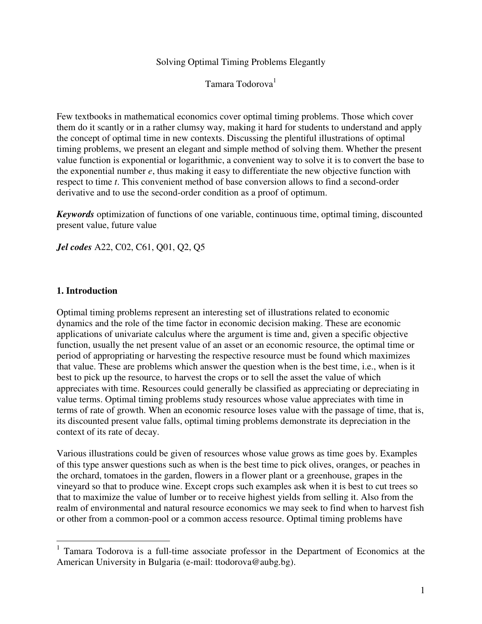Solving Optimal Timing Problems Elegantly

Tamara Todorova<sup>1</sup>

Few textbooks in mathematical economics cover optimal timing problems. Those which cover them do it scantly or in a rather clumsy way, making it hard for students to understand and apply the concept of optimal time in new contexts. Discussing the plentiful illustrations of optimal timing problems, we present an elegant and simple method of solving them. Whether the present value function is exponential or logarithmic, a convenient way to solve it is to convert the base to the exponential number *e*, thus making it easy to differentiate the new objective function with respect to time *t*. This convenient method of base conversion allows to find a second-order derivative and to use the second-order condition as a proof of optimum.

*Keywords* optimization of functions of one variable, continuous time, optimal timing, discounted present value, future value

*Jel codes* A22, C02, C61, Q01, Q2, Q5

#### **1. Introduction**

 $\overline{a}$ 

Optimal timing problems represent an interesting set of illustrations related to economic dynamics and the role of the time factor in economic decision making. These are economic applications of univariate calculus where the argument is time and, given a specific objective function, usually the net present value of an asset or an economic resource, the optimal time or period of appropriating or harvesting the respective resource must be found which maximizes that value. These are problems which answer the question when is the best time, i.e., when is it best to pick up the resource, to harvest the crops or to sell the asset the value of which appreciates with time. Resources could generally be classified as appreciating or depreciating in value terms. Optimal timing problems study resources whose value appreciates with time in terms of rate of growth. When an economic resource loses value with the passage of time, that is, its discounted present value falls, optimal timing problems demonstrate its depreciation in the context of its rate of decay.

Various illustrations could be given of resources whose value grows as time goes by. Examples of this type answer questions such as when is the best time to pick olives, oranges, or peaches in the orchard, tomatoes in the garden, flowers in a flower plant or a greenhouse, grapes in the vineyard so that to produce wine. Except crops such examples ask when it is best to cut trees so that to maximize the value of lumber or to receive highest yields from selling it. Also from the realm of environmental and natural resource economics we may seek to find when to harvest fish or other from a common-pool or a common access resource. Optimal timing problems have

<sup>&</sup>lt;sup>1</sup> Tamara Todorova is a full-time associate professor in the Department of Economics at the American University in Bulgaria (e-mail: ttodorova@aubg.bg).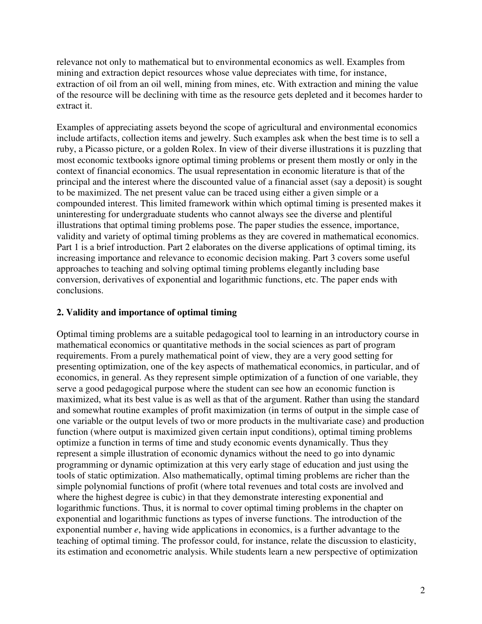relevance not only to mathematical but to environmental economics as well. Examples from mining and extraction depict resources whose value depreciates with time, for instance, extraction of oil from an oil well, mining from mines, etc. With extraction and mining the value of the resource will be declining with time as the resource gets depleted and it becomes harder to extract it.

Examples of appreciating assets beyond the scope of agricultural and environmental economics include artifacts, collection items and jewelry. Such examples ask when the best time is to sell a ruby, a Picasso picture, or a golden Rolex. In view of their diverse illustrations it is puzzling that most economic textbooks ignore optimal timing problems or present them mostly or only in the context of financial economics. The usual representation in economic literature is that of the principal and the interest where the discounted value of a financial asset (say a deposit) is sought to be maximized. The net present value can be traced using either a given simple or a compounded interest. This limited framework within which optimal timing is presented makes it uninteresting for undergraduate students who cannot always see the diverse and plentiful illustrations that optimal timing problems pose. The paper studies the essence, importance, validity and variety of optimal timing problems as they are covered in mathematical economics. Part 1 is a brief introduction. Part 2 elaborates on the diverse applications of optimal timing, its increasing importance and relevance to economic decision making. Part 3 covers some useful approaches to teaching and solving optimal timing problems elegantly including base conversion, derivatives of exponential and logarithmic functions, etc. The paper ends with conclusions.

# **2. Validity and importance of optimal timing**

Optimal timing problems are a suitable pedagogical tool to learning in an introductory course in mathematical economics or quantitative methods in the social sciences as part of program requirements. From a purely mathematical point of view, they are a very good setting for presenting optimization, one of the key aspects of mathematical economics, in particular, and of economics, in general. As they represent simple optimization of a function of one variable, they serve a good pedagogical purpose where the student can see how an economic function is maximized, what its best value is as well as that of the argument. Rather than using the standard and somewhat routine examples of profit maximization (in terms of output in the simple case of one variable or the output levels of two or more products in the multivariate case) and production function (where output is maximized given certain input conditions), optimal timing problems optimize a function in terms of time and study economic events dynamically. Thus they represent a simple illustration of economic dynamics without the need to go into dynamic programming or dynamic optimization at this very early stage of education and just using the tools of static optimization. Also mathematically, optimal timing problems are richer than the simple polynomial functions of profit (where total revenues and total costs are involved and where the highest degree is cubic) in that they demonstrate interesting exponential and logarithmic functions. Thus, it is normal to cover optimal timing problems in the chapter on exponential and logarithmic functions as types of inverse functions. The introduction of the exponential number *e*, having wide applications in economics, is a further advantage to the teaching of optimal timing. The professor could, for instance, relate the discussion to elasticity, its estimation and econometric analysis. While students learn a new perspective of optimization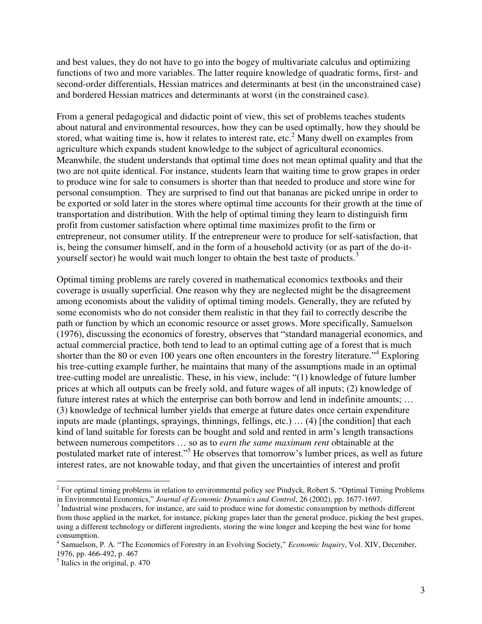and best values, they do not have to go into the bogey of multivariate calculus and optimizing functions of two and more variables. The latter require knowledge of quadratic forms, first- and second-order differentials, Hessian matrices and determinants at best (in the unconstrained case) and bordered Hessian matrices and determinants at worst (in the constrained case).

From a general pedagogical and didactic point of view, this set of problems teaches students about natural and environmental resources, how they can be used optimally, how they should be stored, what waiting time is, how it relates to interest rate, etc.<sup>2</sup> Many dwell on examples from agriculture which expands student knowledge to the subject of agricultural economics. Meanwhile, the student understands that optimal time does not mean optimal quality and that the two are not quite identical. For instance, students learn that waiting time to grow grapes in order to produce wine for sale to consumers is shorter than that needed to produce and store wine for personal consumption. They are surprised to find out that bananas are picked unripe in order to be exported or sold later in the stores where optimal time accounts for their growth at the time of transportation and distribution. With the help of optimal timing they learn to distinguish firm profit from customer satisfaction where optimal time maximizes profit to the firm or entrepreneur, not consumer utility. If the entrepreneur were to produce for self-satisfaction, that is, being the consumer himself, and in the form of a household activity (or as part of the do-ityourself sector) he would wait much longer to obtain the best taste of products.<sup>3</sup>

Optimal timing problems are rarely covered in mathematical economics textbooks and their coverage is usually superficial. One reason why they are neglected might be the disagreement among economists about the validity of optimal timing models. Generally, they are refuted by some economists who do not consider them realistic in that they fail to correctly describe the path or function by which an economic resource or asset grows. More specifically, Samuelson (1976), discussing the economics of forestry, observes that "standard managerial economics, and actual commercial practice, both tend to lead to an optimal cutting age of a forest that is much shorter than the 80 or even 100 years one often encounters in the forestry literature."<sup>4</sup> Exploring his tree-cutting example further, he maintains that many of the assumptions made in an optimal tree-cutting model are unrealistic. These, in his view, include: "(1) knowledge of future lumber prices at which all outputs can be freely sold, and future wages of all inputs; (2) knowledge of future interest rates at which the enterprise can both borrow and lend in indefinite amounts; … (3) knowledge of technical lumber yields that emerge at future dates once certain expenditure inputs are made (plantings, sprayings, thinnings, fellings, etc.) … (4) [the condition] that each kind of land suitable for forests can be bought and sold and rented in arm's length transactions between numerous competitors … so as to *earn the same maximum rent* obtainable at the postulated market rate of interest."<sup>5</sup> He observes that tomorrow's lumber prices, as well as future interest rates, are not knowable today, and that given the uncertainties of interest and profit

 $\overline{a}$ 

 $2^2$  For optimal timing problems in relation to environmental policy see Pindyck, Robert S. "Optimal Timing Problems in Environmental Economics," *Journal of Economic Dynamics and Control*, 26 (2002), pp. 1677-1697.

 $3$  Industrial wine producers, for instance, are said to produce wine for domestic consumption by methods different from those applied in the market, for instance, picking grapes later than the general produce, picking the best grapes, using a different technology or different ingredients, storing the wine longer and keeping the best wine for home consumption.

<sup>4</sup> Samuelson, P. A. "The Economics of Forestry in an Evolving Society," *Economic Inquiry*, Vol. XIV, December, 1976, pp. 466-492, p. 467

 $<sup>5</sup>$  Italics in the original, p. 470</sup>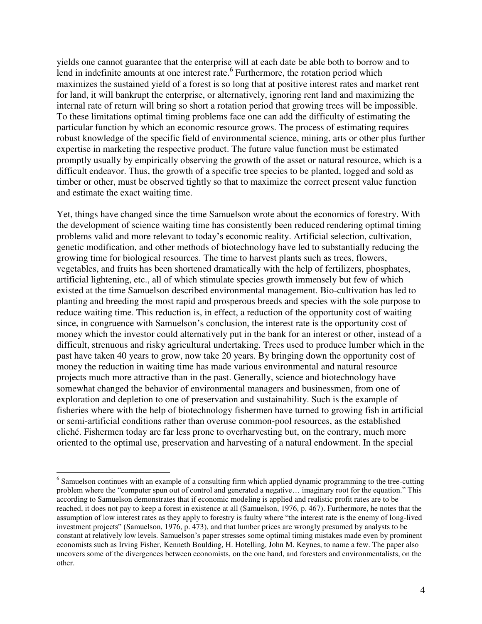yields one cannot guarantee that the enterprise will at each date be able both to borrow and to lend in indefinite amounts at one interest rate. $6$  Furthermore, the rotation period which maximizes the sustained yield of a forest is so long that at positive interest rates and market rent for land, it will bankrupt the enterprise, or alternatively, ignoring rent land and maximizing the internal rate of return will bring so short a rotation period that growing trees will be impossible. To these limitations optimal timing problems face one can add the difficulty of estimating the particular function by which an economic resource grows. The process of estimating requires robust knowledge of the specific field of environmental science, mining, arts or other plus further expertise in marketing the respective product. The future value function must be estimated promptly usually by empirically observing the growth of the asset or natural resource, which is a difficult endeavor. Thus, the growth of a specific tree species to be planted, logged and sold as timber or other, must be observed tightly so that to maximize the correct present value function and estimate the exact waiting time.

Yet, things have changed since the time Samuelson wrote about the economics of forestry. With the development of science waiting time has consistently been reduced rendering optimal timing problems valid and more relevant to today's economic reality. Artificial selection, cultivation, genetic modification, and other methods of biotechnology have led to substantially reducing the growing time for biological resources. The time to harvest plants such as trees, flowers, vegetables, and fruits has been shortened dramatically with the help of fertilizers, phosphates, artificial lightening, etc., all of which stimulate species growth immensely but few of which existed at the time Samuelson described environmental management. Bio-cultivation has led to planting and breeding the most rapid and prosperous breeds and species with the sole purpose to reduce waiting time. This reduction is, in effect, a reduction of the opportunity cost of waiting since, in congruence with Samuelson's conclusion, the interest rate is the opportunity cost of money which the investor could alternatively put in the bank for an interest or other, instead of a difficult, strenuous and risky agricultural undertaking. Trees used to produce lumber which in the past have taken 40 years to grow, now take 20 years. By bringing down the opportunity cost of money the reduction in waiting time has made various environmental and natural resource projects much more attractive than in the past. Generally, science and biotechnology have somewhat changed the behavior of environmental managers and businessmen, from one of exploration and depletion to one of preservation and sustainability. Such is the example of fisheries where with the help of biotechnology fishermen have turned to growing fish in artificial or semi-artificial conditions rather than overuse common-pool resources, as the established cliché. Fishermen today are far less prone to overharvesting but, on the contrary, much more oriented to the optimal use, preservation and harvesting of a natural endowment. In the special

 $\overline{a}$ 

<sup>&</sup>lt;sup>6</sup> Samuelson continues with an example of a consulting firm which applied dynamic programming to the tree-cutting problem where the "computer spun out of control and generated a negative… imaginary root for the equation." This according to Samuelson demonstrates that if economic modeling is applied and realistic profit rates are to be reached, it does not pay to keep a forest in existence at all (Samuelson, 1976, p. 467). Furthermore, he notes that the assumption of low interest rates as they apply to forestry is faulty where "the interest rate is the enemy of long-lived investment projects" (Samuelson, 1976, p. 473), and that lumber prices are wrongly presumed by analysts to be constant at relatively low levels. Samuelson's paper stresses some optimal timing mistakes made even by prominent economists such as Irving Fisher, Kenneth Boulding, H. Hotelling, John M. Keynes, to name a few. The paper also uncovers some of the divergences between economists, on the one hand, and foresters and environmentalists, on the other.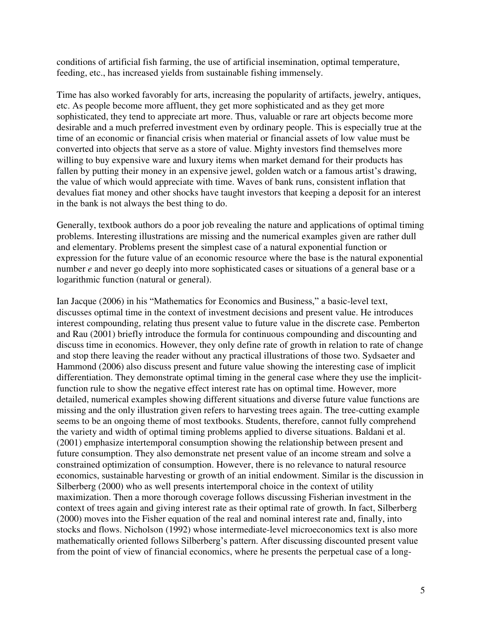conditions of artificial fish farming, the use of artificial insemination, optimal temperature, feeding, etc., has increased yields from sustainable fishing immensely.

Time has also worked favorably for arts, increasing the popularity of artifacts, jewelry, antiques, etc. As people become more affluent, they get more sophisticated and as they get more sophisticated, they tend to appreciate art more. Thus, valuable or rare art objects become more desirable and a much preferred investment even by ordinary people. This is especially true at the time of an economic or financial crisis when material or financial assets of low value must be converted into objects that serve as a store of value. Mighty investors find themselves more willing to buy expensive ware and luxury items when market demand for their products has fallen by putting their money in an expensive jewel, golden watch or a famous artist's drawing, the value of which would appreciate with time. Waves of bank runs, consistent inflation that devalues fiat money and other shocks have taught investors that keeping a deposit for an interest in the bank is not always the best thing to do.

Generally, textbook authors do a poor job revealing the nature and applications of optimal timing problems. Interesting illustrations are missing and the numerical examples given are rather dull and elementary. Problems present the simplest case of a natural exponential function or expression for the future value of an economic resource where the base is the natural exponential number *e* and never go deeply into more sophisticated cases or situations of a general base or a logarithmic function (natural or general).

Ian Jacque (2006) in his "Mathematics for Economics and Business," a basic-level text, discusses optimal time in the context of investment decisions and present value. He introduces interest compounding, relating thus present value to future value in the discrete case. Pemberton and Rau (2001) briefly introduce the formula for continuous compounding and discounting and discuss time in economics. However, they only define rate of growth in relation to rate of change and stop there leaving the reader without any practical illustrations of those two. Sydsaeter and Hammond (2006) also discuss present and future value showing the interesting case of implicit differentiation. They demonstrate optimal timing in the general case where they use the implicitfunction rule to show the negative effect interest rate has on optimal time. However, more detailed, numerical examples showing different situations and diverse future value functions are missing and the only illustration given refers to harvesting trees again. The tree-cutting example seems to be an ongoing theme of most textbooks. Students, therefore, cannot fully comprehend the variety and width of optimal timing problems applied to diverse situations. Baldani et al. (2001) emphasize intertemporal consumption showing the relationship between present and future consumption. They also demonstrate net present value of an income stream and solve a constrained optimization of consumption. However, there is no relevance to natural resource economics, sustainable harvesting or growth of an initial endowment. Similar is the discussion in Silberberg (2000) who as well presents intertemporal choice in the context of utility maximization. Then a more thorough coverage follows discussing Fisherian investment in the context of trees again and giving interest rate as their optimal rate of growth. In fact, Silberberg (2000) moves into the Fisher equation of the real and nominal interest rate and, finally, into stocks and flows. Nicholson (1992) whose intermediate-level microeconomics text is also more mathematically oriented follows Silberberg's pattern. After discussing discounted present value from the point of view of financial economics, where he presents the perpetual case of a long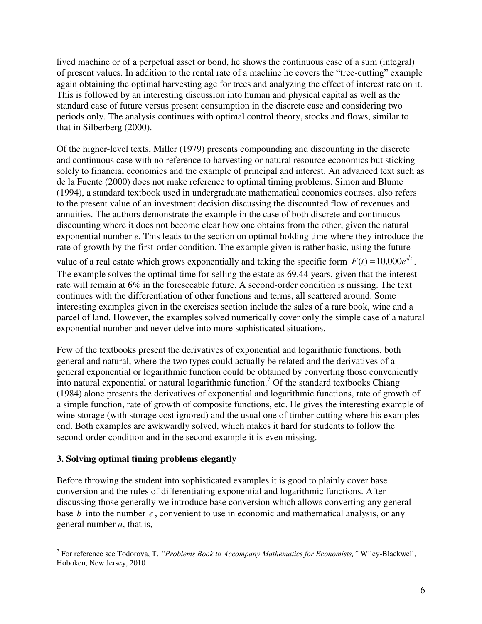lived machine or of a perpetual asset or bond, he shows the continuous case of a sum (integral) of present values. In addition to the rental rate of a machine he covers the "tree-cutting" example again obtaining the optimal harvesting age for trees and analyzing the effect of interest rate on it. This is followed by an interesting discussion into human and physical capital as well as the standard case of future versus present consumption in the discrete case and considering two periods only. The analysis continues with optimal control theory, stocks and flows, similar to that in Silberberg (2000).

Of the higher-level texts, Miller (1979) presents compounding and discounting in the discrete and continuous case with no reference to harvesting or natural resource economics but sticking solely to financial economics and the example of principal and interest. An advanced text such as de la Fuente (2000) does not make reference to optimal timing problems. Simon and Blume (1994), a standard textbook used in undergraduate mathematical economics courses, also refers to the present value of an investment decision discussing the discounted flow of revenues and annuities. The authors demonstrate the example in the case of both discrete and continuous discounting where it does not become clear how one obtains from the other, given the natural exponential number *e*. This leads to the section on optimal holding time where they introduce the rate of growth by the first-order condition. The example given is rather basic, using the future

value of a real estate which grows exponentially and taking the specific form  $F(t) = 10,000e^{\lambda t}$ . The example solves the optimal time for selling the estate as 69.44 years, given that the interest rate will remain at 6% in the foreseeable future. A second-order condition is missing. The text continues with the differentiation of other functions and terms, all scattered around. Some interesting examples given in the exercises section include the sales of a rare book, wine and a parcel of land. However, the examples solved numerically cover only the simple case of a natural exponential number and never delve into more sophisticated situations.

Few of the textbooks present the derivatives of exponential and logarithmic functions, both general and natural, where the two types could actually be related and the derivatives of a general exponential or logarithmic function could be obtained by converting those conveniently into natural exponential or natural logarithmic function.<sup>7</sup> Of the standard textbooks Chiang (1984) alone presents the derivatives of exponential and logarithmic functions, rate of growth of a simple function, rate of growth of composite functions, etc. He gives the interesting example of wine storage (with storage cost ignored) and the usual one of timber cutting where his examples end. Both examples are awkwardly solved, which makes it hard for students to follow the second-order condition and in the second example it is even missing.

# **3. Solving optimal timing problems elegantly**

Before throwing the student into sophisticated examples it is good to plainly cover base conversion and the rules of differentiating exponential and logarithmic functions. After discussing those generally we introduce base conversion which allows converting any general base *b* into the number *e*, convenient to use in economic and mathematical analysis, or any general number *a*, that is,

 7 For reference see Todorova, T. *"Problems Book to Accompany Mathematics for Economists,"* Wiley-Blackwell, Hoboken, New Jersey, 2010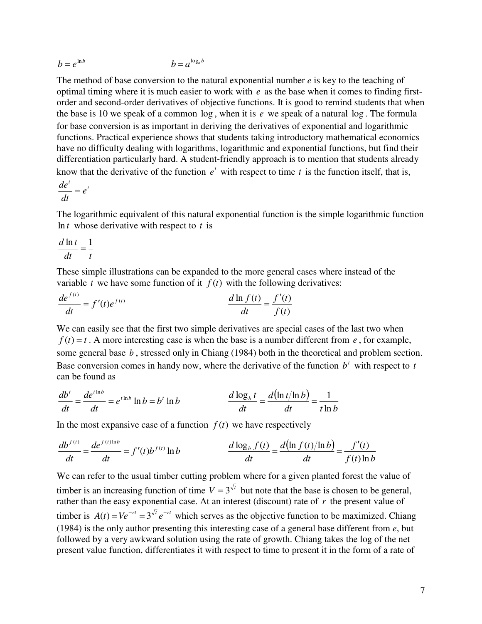$$
b = e^{\ln b} \qquad \qquad b = a^{\log_a b}
$$

The method of base conversion to the natural exponential number *e* is key to the teaching of optimal timing where it is much easier to work with *e* as the base when it comes to finding firstorder and second-order derivatives of objective functions. It is good to remind students that when the base is 10 we speak of a common log , when it is *e* we speak of a natural log . The formula for base conversion is as important in deriving the derivatives of exponential and logarithmic functions. Practical experience shows that students taking introductory mathematical economics have no difficulty dealing with logarithms, logarithmic and exponential functions, but find their differentiation particularly hard. A student-friendly approach is to mention that students already know that the derivative of the function  $e^t$  with respect to time  $t$  is the function itself, that is,

$$
\frac{de^t}{dt}=e^t
$$

The logarithmic equivalent of this natural exponential function is the simple logarithmic function ln *<sup>t</sup>* whose derivative with respect to *<sup>t</sup>* is

$$
\frac{d \ln t}{dt} = \frac{1}{t}
$$

These simple illustrations can be expanded to the more general cases where instead of the variable *t* we have some function of it  $f(t)$  with the following derivatives:

$$
\frac{de^{f(t)}}{dt} = f'(t)e^{f(t)} \qquad \qquad \frac{d\ln f(t)}{dt} = \frac{f'(t)}{f(t)}
$$

We can easily see that the first two simple derivatives are special cases of the last two when  $f(t) = t$ . A more interesting case is when the base is a number different from *e*, for example, some general base *<sup>b</sup>* , stressed only in Chiang (1984) both in the theoretical and problem section. Base conversion comes in handy now, where the derivative of the function  $b<sup>t</sup>$  with respect to *t* can be found as

$$
\frac{db'}{dt} = \frac{de^{t\ln b}}{dt} = e^{t\ln b} \ln b = b' \ln b
$$
\n
$$
\frac{d \log_b t}{dt} = \frac{d(\ln t/\ln b)}{dt} = \frac{1}{t\ln b}
$$

In the most expansive case of a function  $f(t)$  we have respectively

$$
\frac{db^{f(t)}}{dt} = \frac{de^{f(t)\ln b}}{dt} = f'(t)b^{f(t)}\ln b \qquad \qquad \frac{d\log_b f(t)}{dt} = \frac{d(\ln f(t)/\ln b)}{dt} = \frac{f'(t)}{f(t)\ln b}
$$

We can refer to the usual timber cutting problem where for a given planted forest the value of timber is an increasing function of time  $V = 3^{\sqrt{t}}$  but note that the base is chosen to be general, rather than the easy exponential case. At an interest (discount) rate of *r* the present value of timber is  $A(t) = Ve^{-rt} = 3^{rt}e^{-rt}$  which serves as the objective function to be maximized. Chiang (1984) is the only author presenting this interesting case of a general base different from *e*, but followed by a very awkward solution using the rate of growth. Chiang takes the log of the net present value function, differentiates it with respect to time to present it in the form of a rate of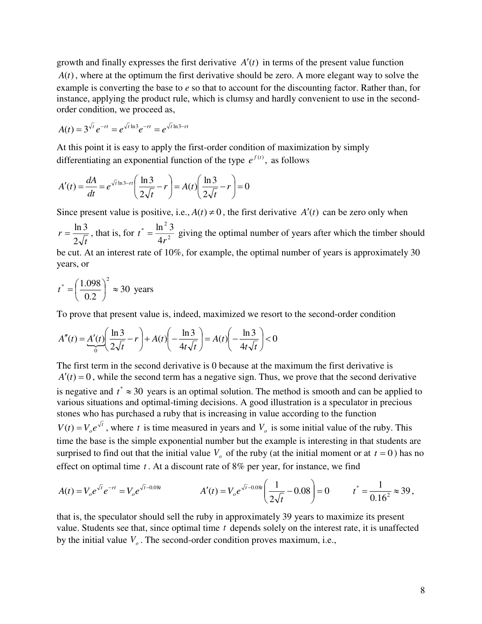growth and finally expresses the first derivative  $A'(t)$  in terms of the present value function *, where at the optimum the first derivative should be zero. A more elegant way to solve the* example is converting the base to *e* so that to account for the discounting factor. Rather than, for instance, applying the product rule, which is clumsy and hardly convenient to use in the secondorder condition, we proceed as,

$$
A(t) = 3^{\sqrt{t}} e^{-rt} = e^{\sqrt{t} \ln 3} e^{-rt} = e^{\sqrt{t} \ln 3 - rt}
$$

At this point it is easy to apply the first-order condition of maximization by simply differentiating an exponential function of the type  $e^{f(t)}$ , as follows

$$
A'(t) = \frac{dA}{dt} = e^{\sqrt{t} \ln 3 - rt} \left( \frac{\ln 3}{2\sqrt{t}} - r \right) = A(t) \left( \frac{\ln 3}{2\sqrt{t}} - r \right) = 0
$$

Since present value is positive, i.e.,  $A(t) \neq 0$ , the first derivative  $A'(t)$  can be zero only when *t*  $r=\frac{1}{2}$  $=\frac{\ln 3}{2\sqrt{2}}$ , that is, for  $t^* = \frac{\ln^2 3}{4\sqrt{2}}$  $\frac{1}{4r} = \frac{\ln^2}{4r}$  $\ln^2 3$  $t^* = \frac{m^2}{4r^2}$  giving the optimal number of years after which the timber should be cut. At an interest rate of 10%, for example, the optimal number of years is approximately 30 years, or

$$
t^* = \left(\frac{1.098}{0.2}\right)^2 \approx 30
$$
 years

To prove that present value is, indeed, maximized we resort to the second-order condition

$$
A''(t) = \underbrace{A'(t)}_{0} \left( \frac{\ln 3}{2\sqrt{t}} - r \right) + A(t) \left( -\frac{\ln 3}{4t\sqrt{t}} \right) = A(t) \left( -\frac{\ln 3}{4t\sqrt{t}} \right) < 0
$$

The first term in the second derivative is 0 because at the maximum the first derivative is  $A'(t) = 0$ , while the second term has a negative sign. Thus, we prove that the second derivative is negative and  $t^* \approx 30$  years is an optimal solution. The method is smooth and can be applied to various situations and optimal-timing decisions. A good illustration is a speculator in precious stones who has purchased a ruby that is increasing in value according to the function *t*  $V(t) = V_0 e^{\lambda t}$ , where *t* is time measured in years and  $V_0$  is some initial value of the ruby. This time the base is the simple exponential number but the example is interesting in that students are surprised to find out that the initial value  $V$ <sup>0</sup> of the ruby (at the initial moment or at  $t = 0$ ) has no effect on optimal time *<sup>t</sup>* . At a discount rate of 8% per year, for instance, we find

$$
A(t) = V_o e^{\sqrt{t}} e^{-rt} = V_o e^{\sqrt{t} - 0.08t}
$$
  
 
$$
A'(t) = V_o e^{\sqrt{t} - 0.08t} \left( \frac{1}{2\sqrt{t}} - 0.08 \right) = 0
$$
  
 
$$
t^* = \frac{1}{0.16^2} \approx 39,
$$

that is, the speculator should sell the ruby in approximately 39 years to maximize its present value. Students see that, since optimal time *t* depends solely on the interest rate, it is unaffected by the initial value  $V<sub>o</sub>$ . The second-order condition proves maximum, i.e.,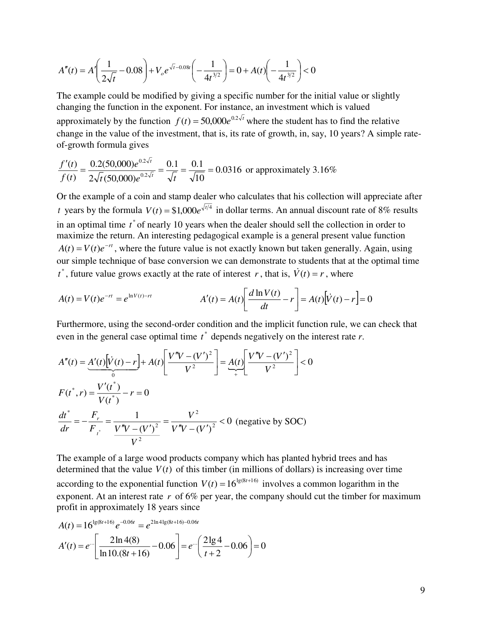$$
A''(t) = A'\left(\frac{1}{2\sqrt{t}} - 0.08\right) + V_o e^{\sqrt{t} - 0.08t} \left(-\frac{1}{4t^{3/2}}\right) = 0 + A(t)\left(-\frac{1}{4t^{3/2}}\right) < 0
$$

The example could be modified by giving a specific number for the initial value or slightly changing the function in the exponent. For instance, an investment which is valued approximately by the function  $f(t) = 50,000e^{0.2 \sqrt{t}}$  where the student has to find the relative change in the value of the investment, that is, its rate of growth, in, say, 10 years? A simple rateof-growth formula gives

$$
\frac{f'(t)}{f(t)} = \frac{0.2(50,000)e^{0.2\sqrt{t}}}{2\sqrt{t}(50,000)e^{0.2\sqrt{t}}} = \frac{0.1}{\sqrt{t}} = \frac{0.1}{\sqrt{10}} = 0.0316
$$
 or approximately 3.16%

Or the example of a coin and stamp dealer who calculates that his collection will appreciate after *t* years by the formula  $V(t) = $1,000e^{\sqrt{t/4}}$  in dollar terms. An annual discount rate of 8% results in an optimal time  $t^*$  of nearly 10 years when the dealer should sell the collection in order to maximize the return. An interesting pedagogical example is a general present value function  $A(t) = V(t)e^{-rt}$ , where the future value is not exactly known but taken generally. Again, using our simple technique of base conversion we can demonstrate to students that at the optimal time  $t^*$ , future value grows exactly at the rate of interest *r*, that is,  $\dot{V}(t) = r$ , where

$$
A(t) = V(t)e^{-rt} = e^{\ln V(t)-rt}
$$
  
 
$$
A'(t) = A(t)\left[\frac{d\ln V(t)}{dt} - r\right] = A(t)\left[\dot{V}(t) - r\right] = 0
$$

Furthermore, using the second-order condition and the implicit function rule, we can check that even in the general case optimal time  $t^*$  depends negatively on the interest rate  $r$ .

$$
A''(t) = A'(t)\left[\dot{V}(t) - r\right] + A(t)\left[\frac{V''V - (V')^2}{V^2}\right] = A(t)\left[\frac{V''V - (V')^2}{V^2}\right] < 0
$$
  
\n
$$
F(t^*, r) = \frac{V'(t^*)}{V(t^*)} - r = 0
$$
  
\n
$$
\frac{dt^*}{dr} = -\frac{F_r}{F_{t^*}} = \frac{1}{\frac{V''V - (V')^2}{V^2}} = \frac{V^2}{V''V - (V')^2} < 0 \text{ (negative by SOC)}
$$

The example of a large wood products company which has planted hybrid trees and has determined that the value  $V(t)$  of this timber (in millions of dollars) is increasing over time according to the exponential function  $V(t) = 16^{\lg(8t+16)}$  involves a common logarithm in the exponent. At an interest rate  $r$  of 6% per year, the company should cut the timber for maximum profit in approximately 18 years since

$$
A(t) = 16^{\lg(8t+16)} e^{-0.06t} = e^{2\ln 4\lg(8t+16) - 0.06t}
$$
  

$$
A'(t) = e^{-\ln 4(8)} \left[ \frac{2\ln 4(8)}{\ln 10(8t+16)} - 0.06 \right] = e^{-\ln 4(8)} \left( \frac{2\lg 4}{t+2} - 0.06 \right) = 0
$$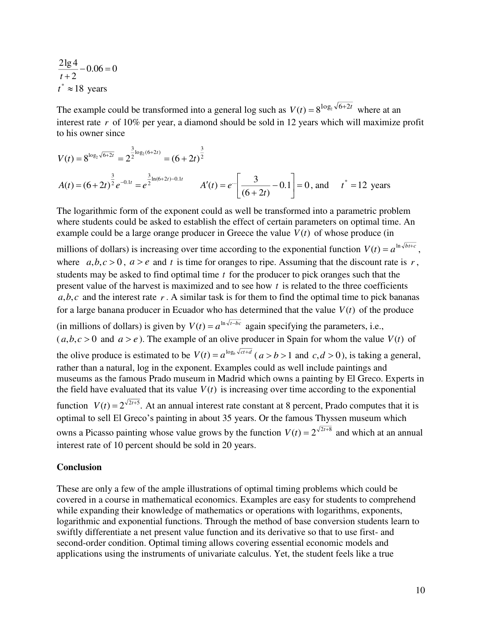$0.06 = 0$ 2  $\frac{2\lg 4}{t+2} - 0.06 =$  $t^* \approx 18$  years

The example could be transformed into a general log such as  $V(t) = 8^{\log_2 \sqrt{6+2t}}$  where at an interest rate *r* of 10% per year, a diamond should be sold in 12 years which will maximize profit to his owner since

$$
V(t) = 8^{\log_2 \sqrt{6+2t}} = 2^{\frac{3}{2}\log_2(6+2t)} = (6+2t)^{\frac{3}{2}}
$$
  
\n
$$
A(t) = (6+2t)^{\frac{3}{2}}e^{-0.1t} = e^{\frac{3}{2}\ln(6+2t) - 0.1t} \qquad A'(t) = e^{-\left[\frac{3}{(6+2t)} - 0.1\right]} = 0, \text{ and } t^* = 12 \text{ years}
$$

The logarithmic form of the exponent could as well be transformed into a parametric problem where students could be asked to establish the effect of certain parameters on optimal time. An example could be a large orange producer in Greece the value  $V(t)$  of whose produce (in

millions of dollars) is increasing over time according to the exponential function  $V(t) = a^{\ln \sqrt{b}t+c}$ , where  $a, b, c > 0$ ,  $a > e$  and *t* is time for oranges to ripe. Assuming that the discount rate is *r*, students may be asked to find optimal time *t* for the producer to pick oranges such that the present value of the harvest is maximized and to see how *<sup>t</sup>* is related to the three coefficients  $a, b, c$  and the interest rate  $r \cdot A$  similar task is for them to find the optimal time to pick bananas for a large banana producer in Ecuador who has determined that the value  $V(t)$  of the produce (in millions of dollars) is given by  $V(t) = a^{\ln \sqrt{t-bc}}$  again specifying the parameters, i.e.,  $(a, b, c > 0$  and  $a > e$ ). The example of an olive producer in Spain for whom the value *V*(*t*) of the olive produce is estimated to be  $V(t) = a^{\log_b \sqrt{ct+d}}$  ( $a > b > 1$  and  $c, d > 0$ ), is taking a general, rather than a natural, log in the exponent. Examples could as well include paintings and museums as the famous Prado museum in Madrid which owns a painting by El Greco. Experts in the field have evaluated that its value  $V(t)$  is increasing over time according to the exponential function  $V(t) = 2^{\sqrt{2}t+5}$ . At an annual interest rate constant at 8 percent, Prado computes that it is optimal to sell El Greco's painting in about 35 years. Or the famous Thyssen museum which owns a Picasso painting whose value grows by the function  $V(t) = 2^{\sqrt{2}t+8}$  and which at an annual interest rate of 10 percent should be sold in 20 years.

#### **Conclusion**

These are only a few of the ample illustrations of optimal timing problems which could be covered in a course in mathematical economics. Examples are easy for students to comprehend while expanding their knowledge of mathematics or operations with logarithms, exponents, logarithmic and exponential functions. Through the method of base conversion students learn to swiftly differentiate a net present value function and its derivative so that to use first- and second-order condition. Optimal timing allows covering essential economic models and applications using the instruments of univariate calculus. Yet, the student feels like a true